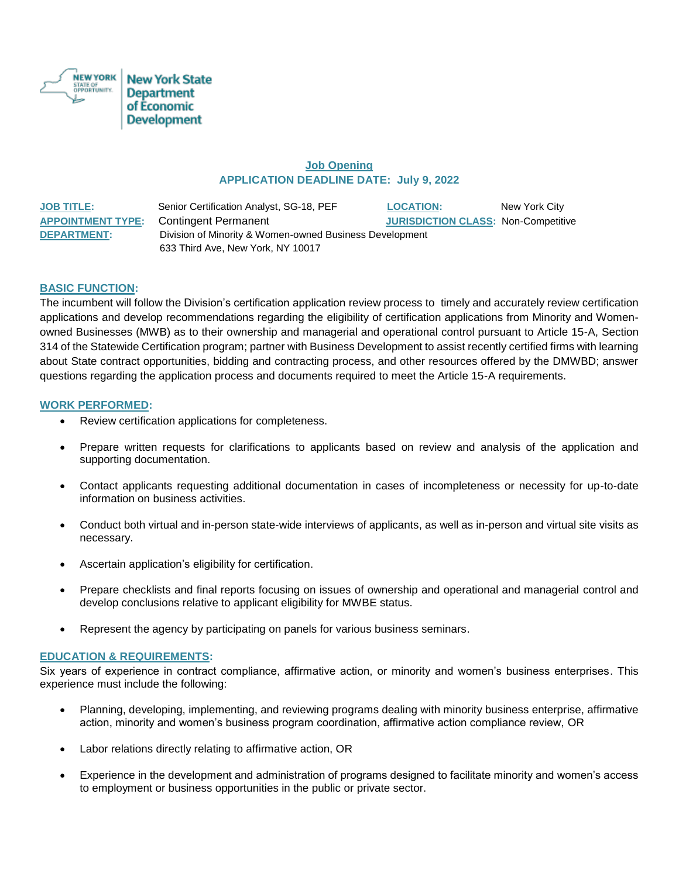

# **Job Opening APPLICATION DEADLINE DATE: July 9, 2022**

| <b>JOB TITLE:</b>  | Senior Certification Analyst, SG-18, PEF                | <b>LOCATION:</b>                           | New York City |
|--------------------|---------------------------------------------------------|--------------------------------------------|---------------|
|                    | <b>APPOINTMENT TYPE:</b> Contingent Permanent           | <b>JURISDICTION CLASS: Non-Competitive</b> |               |
| <b>DEPARTMENT:</b> | Division of Minority & Women-owned Business Development |                                            |               |
|                    | 633 Third Ave, New York, NY 10017                       |                                            |               |

# **BASIC FUNCTION:**

The incumbent will follow the Division's certification application review process to timely and accurately review certification applications and develop recommendations regarding the eligibility of certification applications from Minority and Womenowned Businesses (MWB) as to their ownership and managerial and operational control pursuant to Article 15-A, Section 314 of the Statewide Certification program; partner with Business Development to assist recently certified firms with learning about State contract opportunities, bidding and contracting process, and other resources offered by the DMWBD; answer questions regarding the application process and documents required to meet the Article 15-A requirements.

### **WORK PERFORMED:**

- Review certification applications for completeness.
- Prepare written requests for clarifications to applicants based on review and analysis of the application and supporting documentation.
- Contact applicants requesting additional documentation in cases of incompleteness or necessity for up-to-date information on business activities.
- Conduct both virtual and in-person state-wide interviews of applicants, as well as in-person and virtual site visits as necessary.
- Ascertain application's eligibility for certification.
- Prepare checklists and final reports focusing on issues of ownership and operational and managerial control and develop conclusions relative to applicant eligibility for MWBE status.
- Represent the agency by participating on panels for various business seminars.

#### **EDUCATION & REQUIREMENTS:**

Six years of experience in contract compliance, affirmative action, or minority and women's business enterprises. This experience must include the following:

- Planning, developing, implementing, and reviewing programs dealing with minority business enterprise, affirmative action, minority and women's business program coordination, affirmative action compliance review, OR
- Labor relations directly relating to affirmative action, OR
- Experience in the development and administration of programs designed to facilitate minority and women's access to employment or business opportunities in the public or private sector.